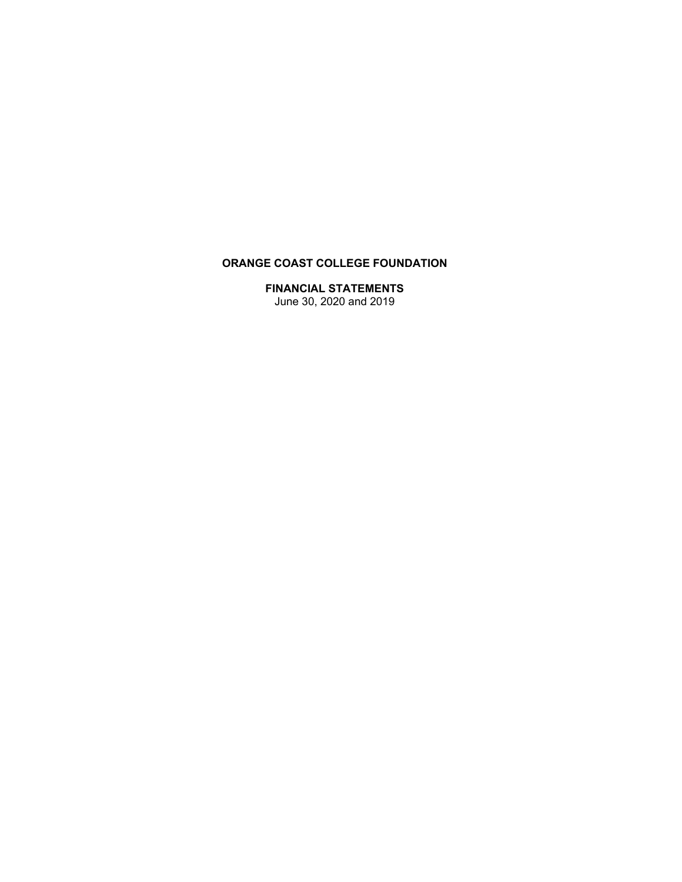# **ORANGE COAST COLLEGE FOUNDATION**

**FINANCIAL STATEMENTS**  June 30, 2020 and 2019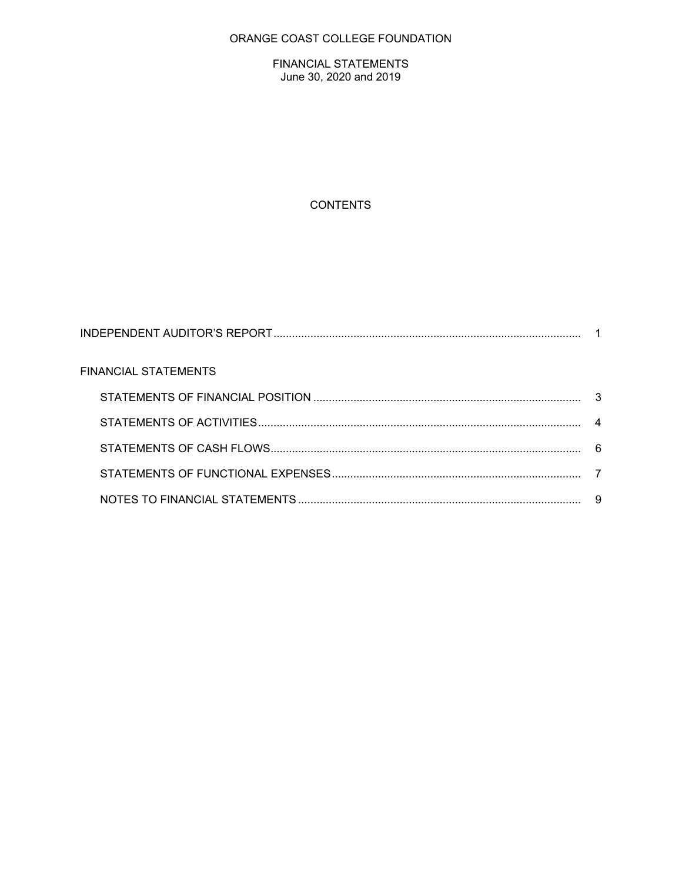# ORANGE COAST COLLEGE FOUNDATION

FINANCIAL STATEMENTS June 30, 2020 and 2019

# **CONTENTS**

| <b>FINANCIAL STATEMENTS</b> |   |
|-----------------------------|---|
|                             |   |
|                             |   |
|                             |   |
|                             |   |
|                             | 9 |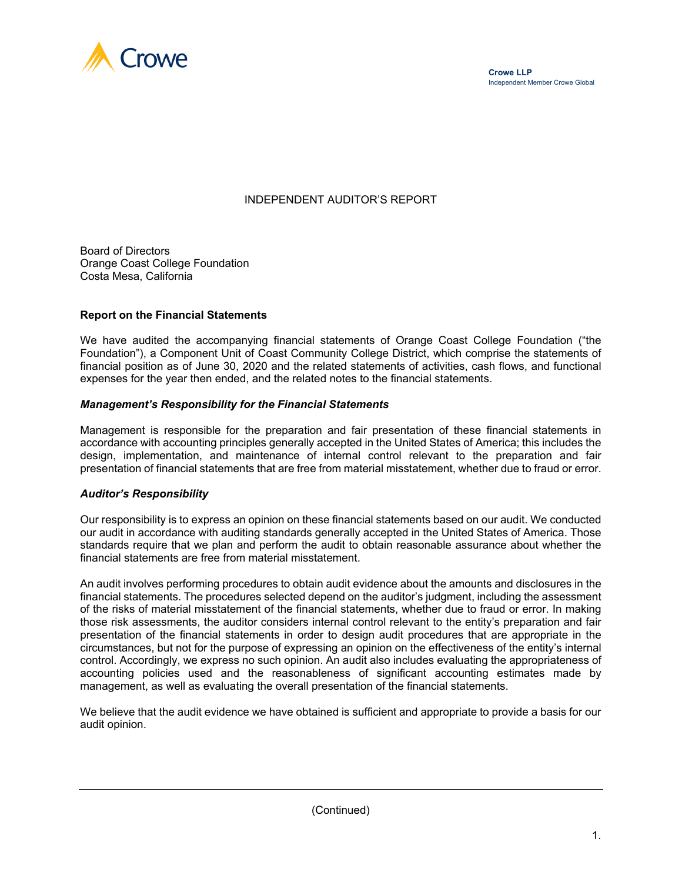

# INDEPENDENT AUDITOR'S REPORT

Board of Directors Orange Coast College Foundation Costa Mesa, California

#### **Report on the Financial Statements**

We have audited the accompanying financial statements of Orange Coast College Foundation ("the Foundation"), a Component Unit of Coast Community College District, which comprise the statements of financial position as of June 30, 2020 and the related statements of activities, cash flows, and functional expenses for the year then ended, and the related notes to the financial statements.

#### *Management's Responsibility for the Financial Statements*

Management is responsible for the preparation and fair presentation of these financial statements in accordance with accounting principles generally accepted in the United States of America; this includes the design, implementation, and maintenance of internal control relevant to the preparation and fair presentation of financial statements that are free from material misstatement, whether due to fraud or error.

### *Auditor's Responsibility*

Our responsibility is to express an opinion on these financial statements based on our audit. We conducted our audit in accordance with auditing standards generally accepted in the United States of America. Those standards require that we plan and perform the audit to obtain reasonable assurance about whether the financial statements are free from material misstatement.

An audit involves performing procedures to obtain audit evidence about the amounts and disclosures in the financial statements. The procedures selected depend on the auditor's judgment, including the assessment of the risks of material misstatement of the financial statements, whether due to fraud or error. In making those risk assessments, the auditor considers internal control relevant to the entity's preparation and fair presentation of the financial statements in order to design audit procedures that are appropriate in the circumstances, but not for the purpose of expressing an opinion on the effectiveness of the entity's internal control. Accordingly, we express no such opinion. An audit also includes evaluating the appropriateness of accounting policies used and the reasonableness of significant accounting estimates made by management, as well as evaluating the overall presentation of the financial statements.

We believe that the audit evidence we have obtained is sufficient and appropriate to provide a basis for our audit opinion.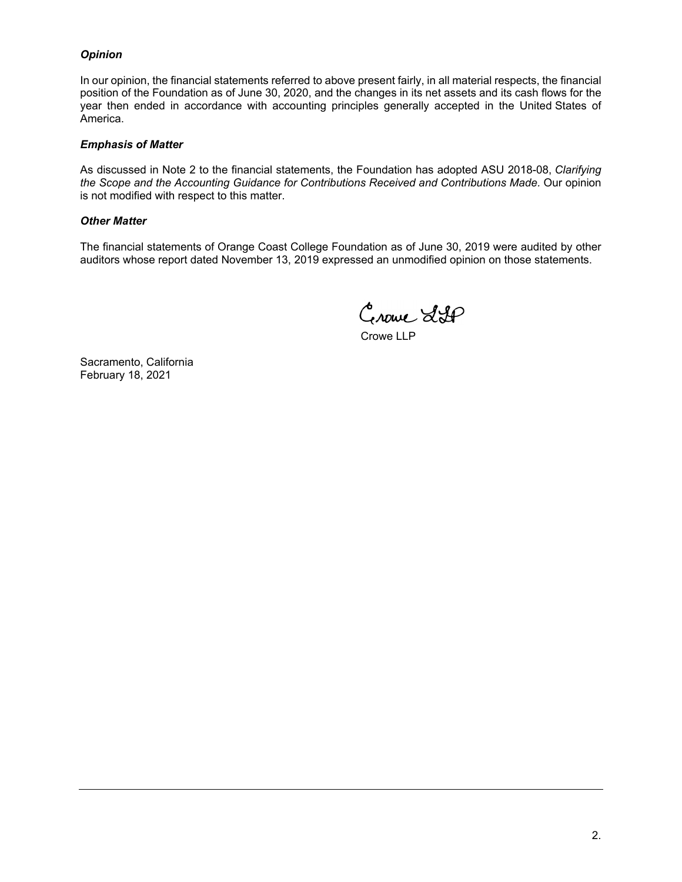#### *Opinion*

In our opinion, the financial statements referred to above present fairly, in all material respects, the financial position of the Foundation as of June 30, 2020, and the changes in its net assets and its cash flows for the year then ended in accordance with accounting principles generally accepted in the United States of America.

#### *Emphasis of Matter*

As discussed in Note 2 to the financial statements, the Foundation has adopted ASU 2018-08, *Clarifying the Scope and the Accounting Guidance for Contributions Received and Contributions Made.* Our opinion is not modified with respect to this matter.

#### *Other Matter*

The financial statements of Orange Coast College Foundation as of June 30, 2019 were audited by other auditors whose report dated November 13, 2019 expressed an unmodified opinion on those statements.

Crowe LLP

Crowe LLP

Sacramento, California February 18, 2021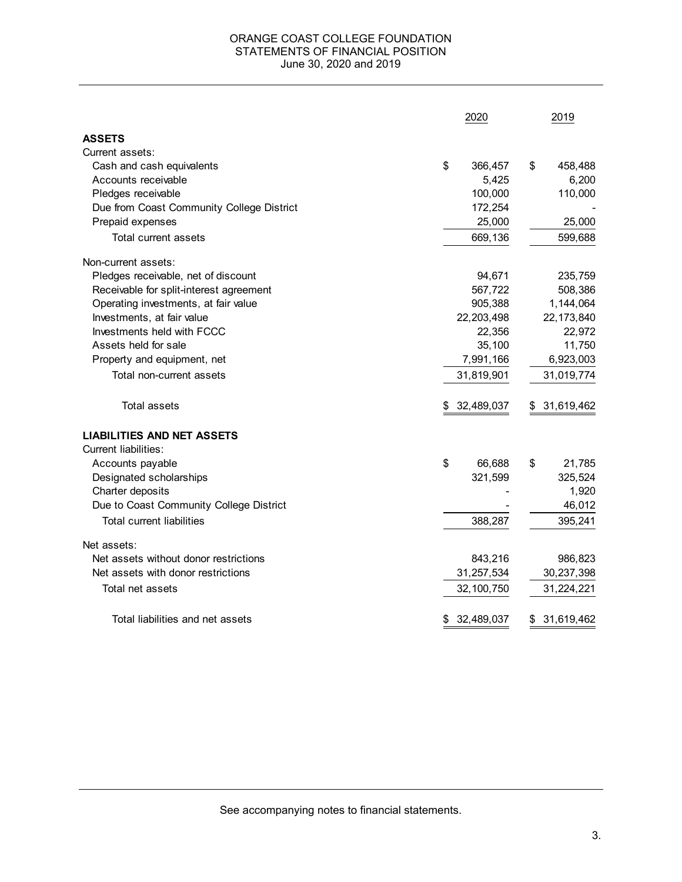### ORANGE COAST COLLEGE FOUNDATION STATEMENTS OF FINANCIAL POSITION June 30, 2020 and 2019

|                                           | 2020             | 2019          |
|-------------------------------------------|------------------|---------------|
| <b>ASSETS</b>                             |                  |               |
| Current assets:                           |                  |               |
| Cash and cash equivalents                 | \$<br>366,457    | 458,488<br>\$ |
| Accounts receivable                       | 5,425            | 6,200         |
| Pledges receivable                        | 100,000          | 110,000       |
| Due from Coast Community College District | 172,254          |               |
| Prepaid expenses                          | 25,000           | 25,000        |
| Total current assets                      | 669,136          | 599,688       |
| Non-current assets:                       |                  |               |
| Pledges receivable, net of discount       | 94,671           | 235,759       |
| Receivable for split-interest agreement   | 567,722          | 508,386       |
| Operating investments, at fair value      | 905,388          | 1,144,064     |
| Investments, at fair value                | 22,203,498       | 22, 173, 840  |
| Investments held with FCCC                | 22,356           | 22,972        |
| Assets held for sale                      | 35,100           | 11,750        |
| Property and equipment, net               | 7,991,166        | 6,923,003     |
| Total non-current assets                  | 31,819,901       | 31,019,774    |
| <b>Total assets</b>                       | 32,489,037<br>\$ | 31,619,462    |
| <b>LIABILITIES AND NET ASSETS</b>         |                  |               |
| Current liabilities:                      |                  |               |
| Accounts payable                          | \$<br>66,688     | \$<br>21,785  |
| Designated scholarships                   | 321,599          | 325,524       |
| Charter deposits                          |                  | 1,920         |
| Due to Coast Community College District   |                  | 46,012        |
| <b>Total current liabilities</b>          | 388,287          | 395,241       |
| Net assets:                               |                  |               |
| Net assets without donor restrictions     | 843,216          | 986,823       |
| Net assets with donor restrictions        | 31,257,534       | 30,237,398    |
| Total net assets                          | 32,100,750       | 31,224,221    |
| Total liabilities and net assets          | 32,489,037       | 31,619,462    |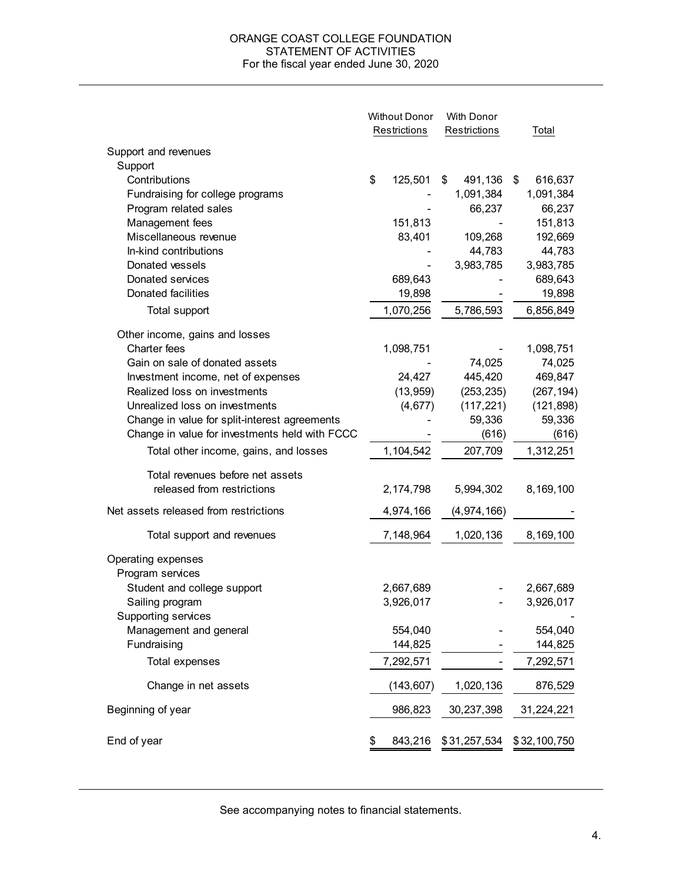### ORANGE COAST COLLEGE FOUNDATION STATEMENT OF ACTIVITIES For the fiscal year ended June 30, 2020

|                                                | <b>Without Donor</b> |           | <b>With Donor</b> |               |        |
|------------------------------------------------|----------------------|-----------|-------------------|---------------|--------|
|                                                | Restrictions         |           | Restrictions      | Total         |        |
| Support and revenues                           |                      |           |                   |               |        |
| Support                                        |                      |           |                   |               |        |
| Contributions                                  | \$                   | 125,501   | \$<br>491,136     | \$<br>616,637 |        |
| Fundraising for college programs               |                      |           | 1,091,384         | 1,091,384     |        |
| Program related sales                          |                      |           | 66,237            |               | 66,237 |
| Management fees                                |                      | 151,813   |                   | 151,813       |        |
| Miscellaneous revenue                          |                      | 83,401    | 109,268           | 192,669       |        |
| In-kind contributions                          |                      |           | 44,783            |               | 44,783 |
| Donated vessels                                |                      |           | 3,983,785         | 3,983,785     |        |
| Donated services                               |                      | 689,643   |                   | 689,643       |        |
| Donated facilities                             |                      | 19,898    |                   |               | 19,898 |
| Total support                                  |                      | 1,070,256 | 5,786,593         | 6,856,849     |        |
| Other income, gains and losses                 |                      |           |                   |               |        |
| Charter fees                                   |                      | 1,098,751 |                   | 1,098,751     |        |
| Gain on sale of donated assets                 |                      |           | 74,025            |               | 74,025 |
| Investment income, net of expenses             |                      | 24,427    | 445,420           | 469,847       |        |
| Realized loss on investments                   |                      | (13, 959) | (253, 235)        | (267, 194)    |        |
| Unrealized loss on investments                 |                      | (4,677)   | (117, 221)        | (121, 898)    |        |
| Change in value for split-interest agreements  |                      |           | 59,336            |               | 59,336 |
| Change in value for investments held with FCCC |                      |           | (616)             |               | (616)  |
| Total other income, gains, and losses          |                      | 1,104,542 | 207,709           | 1,312,251     |        |
| Total revenues before net assets               |                      |           |                   |               |        |
| released from restrictions                     |                      | 2,174,798 | 5,994,302         | 8,169,100     |        |
|                                                |                      |           |                   |               |        |
| Net assets released from restrictions          |                      | 4,974,166 | (4,974,166)       |               |        |
| Total support and revenues                     |                      | 7,148,964 | 1,020,136         | 8,169,100     |        |
| Operating expenses                             |                      |           |                   |               |        |
| Program services                               |                      |           |                   |               |        |
| Student and college support                    |                      | 2,667,689 |                   | 2,667,689     |        |
| Sailing program                                |                      | 3,926,017 |                   | 3,926,017     |        |
| Supporting services                            |                      |           |                   |               |        |
| Management and general                         |                      | 554,040   |                   | 554,040       |        |
| Fundraising                                    |                      | 144,825   |                   | 144,825       |        |
| <b>Total expenses</b>                          |                      | 7,292,571 |                   | 7,292,571     |        |
| Change in net assets                           |                      | (143,607) | 1,020,136         | 876,529       |        |
| Beginning of year                              |                      | 986,823   | 30,237,398        | 31,224,221    |        |
| End of year                                    | \$                   | 843,216   | \$31,257,534      | \$32,100,750  |        |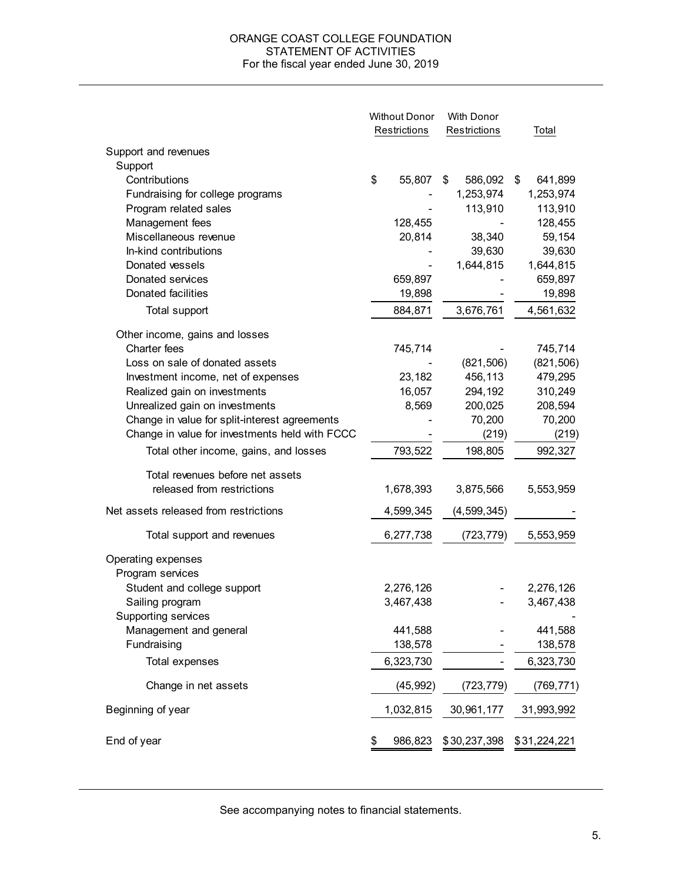### ORANGE COAST COLLEGE FOUNDATION STATEMENT OF ACTIVITIES For the fiscal year ended June 30, 2019

|                                                | <b>Without Donor</b> |              | With Donor    |               |  |
|------------------------------------------------|----------------------|--------------|---------------|---------------|--|
|                                                |                      | Restrictions | Restrictions  | Total         |  |
| Support and revenues                           |                      |              |               |               |  |
| Support                                        |                      |              |               |               |  |
| Contributions                                  | \$                   | 55,807       | \$<br>586,092 | \$<br>641,899 |  |
| Fundraising for college programs               |                      |              | 1,253,974     | 1,253,974     |  |
| Program related sales                          |                      |              | 113,910       | 113,910       |  |
| Management fees                                |                      | 128,455      |               | 128,455       |  |
| Miscellaneous revenue                          |                      | 20,814       | 38,340        | 59,154        |  |
| In-kind contributions                          |                      |              | 39,630        | 39,630        |  |
| Donated vessels                                |                      |              | 1,644,815     | 1,644,815     |  |
| Donated services                               |                      | 659,897      |               | 659,897       |  |
| Donated facilities                             |                      | 19,898       |               | 19,898        |  |
| Total support                                  |                      | 884,871      | 3,676,761     | 4,561,632     |  |
| Other income, gains and losses                 |                      |              |               |               |  |
| Charter fees                                   |                      | 745,714      |               | 745,714       |  |
| Loss on sale of donated assets                 |                      |              | (821, 506)    | (821, 506)    |  |
| Investment income, net of expenses             |                      | 23,182       | 456,113       | 479,295       |  |
| Realized gain on investments                   |                      | 16,057       | 294,192       | 310,249       |  |
| Unrealized gain on investments                 |                      | 8,569        | 200,025       | 208,594       |  |
| Change in value for split-interest agreements  |                      |              | 70,200        | 70,200        |  |
| Change in value for investments held with FCCC |                      |              | (219)         | (219)         |  |
| Total other income, gains, and losses          |                      | 793,522      | 198,805       | 992,327       |  |
| Total revenues before net assets               |                      |              |               |               |  |
| released from restrictions                     |                      | 1,678,393    | 3,875,566     | 5,553,959     |  |
| Net assets released from restrictions          |                      | 4,599,345    | (4, 599, 345) |               |  |
|                                                |                      |              |               |               |  |
| Total support and revenues                     |                      | 6,277,738    | (723,779)     | 5,553,959     |  |
| Operating expenses                             |                      |              |               |               |  |
| Program services                               |                      |              |               |               |  |
| Student and college support                    |                      | 2,276,126    |               | 2,276,126     |  |
| Sailing program                                |                      | 3,467,438    |               | 3,467,438     |  |
| Supporting services                            |                      |              |               |               |  |
| Management and general                         |                      | 441,588      |               | 441,588       |  |
| Fundraising                                    |                      | 138,578      |               | 138,578       |  |
| <b>Total expenses</b>                          |                      | 6,323,730    |               | 6,323,730     |  |
| Change in net assets                           |                      | (45, 992)    | (723,779)     | (769, 771)    |  |
| Beginning of year                              |                      | 1,032,815    | 30,961,177    | 31,993,992    |  |
| End of year                                    | \$                   | 986,823      | \$30,237,398  | \$31,224,221  |  |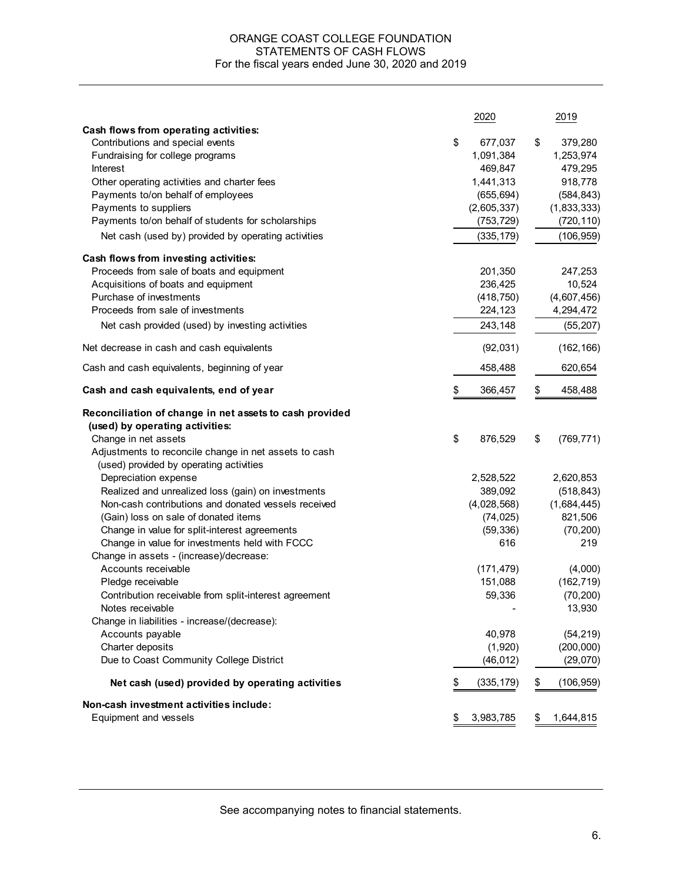#### ORANGE COAST COLLEGE FOUNDATION STATEMENTS OF CASH FLOWS For the fiscal years ended June 30, 2020 and 2019

|                                                         | 2020             | 2019             |
|---------------------------------------------------------|------------------|------------------|
| Cash flows from operating activities:                   |                  |                  |
| Contributions and special events                        | \$<br>677,037    | \$<br>379,280    |
| Fundraising for college programs                        | 1,091,384        | 1,253,974        |
| <b>Interest</b>                                         | 469,847          | 479,295          |
| Other operating activities and charter fees             | 1,441,313        | 918,778          |
| Payments to/on behalf of employees                      | (655, 694)       | (584, 843)       |
| Payments to suppliers                                   | (2,605,337)      | (1,833,333)      |
| Payments to/on behalf of students for scholarships      | (753, 729)       | (720, 110)       |
| Net cash (used by) provided by operating activities     | (335, 179)       | (106, 959)       |
| Cash flows from investing activities:                   |                  |                  |
| Proceeds from sale of boats and equipment               | 201,350          | 247,253          |
| Acquisitions of boats and equipment                     | 236,425          | 10,524           |
| Purchase of investments                                 | (418, 750)       | (4,607,456)      |
| Proceeds from sale of investments                       | 224,123          | 4,294,472        |
| Net cash provided (used) by investing activities        | 243,148          | (55, 207)        |
| Net decrease in cash and cash equivalents               | (92,031)         | (162, 166)       |
| Cash and cash equivalents, beginning of year            | 458,488          | 620,654          |
| Cash and cash equivalents, end of year                  | \$<br>366,457    | \$<br>458,488    |
| Reconciliation of change in net assets to cash provided |                  |                  |
| (used) by operating activities:                         |                  |                  |
| Change in net assets                                    | \$<br>876,529    | \$<br>(769, 771) |
| Adjustments to reconcile change in net assets to cash   |                  |                  |
| (used) provided by operating activities                 |                  |                  |
| Depreciation expense                                    | 2,528,522        | 2,620,853        |
| Realized and unrealized loss (gain) on investments      | 389,092          | (518, 843)       |
| Non-cash contributions and donated vessels received     | (4,028,568)      | (1,684,445)      |
| (Gain) loss on sale of donated items                    | (74, 025)        | 821,506          |
| Change in value for split-interest agreements           | (59, 336)        | (70, 200)        |
| Change in value for investments held with FCCC          | 616              | 219              |
| Change in assets - (increase)/decrease:                 |                  |                  |
| Accounts receivable                                     | (171, 479)       | (4,000)          |
| Pledge receivable                                       | 151,088          | (162, 719)       |
| Contribution receivable from split-interest agreement   | 59,336           | (70, 200)        |
| Notes receivable                                        |                  | 13,930           |
| Change in liabilities - increase/(decrease):            |                  |                  |
| Accounts payable                                        | 40,978           | (54, 219)        |
| Charter deposits                                        | (1,920)          | (200,000)        |
| Due to Coast Community College District                 | (46, 012)        | (29,070)         |
| Net cash (used) provided by operating activities        | \$<br>(335, 179) | \$<br>(106, 959) |
| Non-cash investment activities include:                 |                  |                  |
| Equipment and vessels                                   | \$<br>3,983,785  | \$<br>1,644,815  |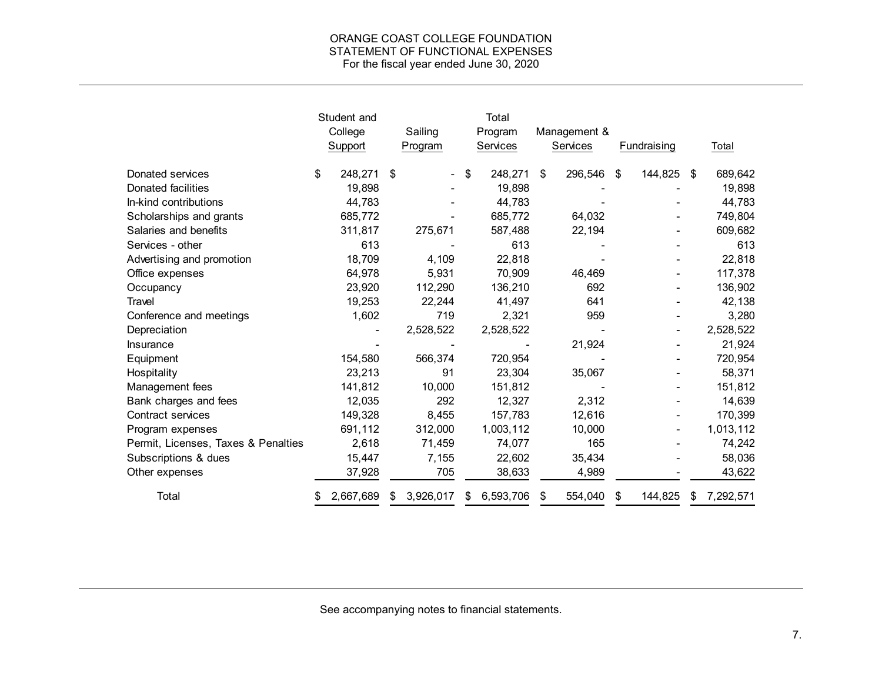#### ORANGE COAST COLLEGE FOUNDATION STATEMENT OF FUNCTIONAL EXPENSES For the fiscal year ended June 30, 2020

|                                     | Student and     |           | Total         |               |               |                |
|-------------------------------------|-----------------|-----------|---------------|---------------|---------------|----------------|
|                                     | College         | Sailing   | Program       | Management &  |               |                |
|                                     | <b>Support</b>  | Program   | Services      | Services      | Fundraising   | Total          |
| Donated services                    | \$<br>248,271   | \$        | 248,271<br>\$ | \$<br>296,546 | 144,825<br>\$ | 689,642<br>\$  |
| Donated facilities                  | 19,898          |           | 19,898        |               |               | 19,898         |
| In-kind contributions               | 44,783          |           | 44,783        |               |               | 44,783         |
| Scholarships and grants             | 685,772         |           | 685,772       | 64,032        |               | 749,804        |
| Salaries and benefits               | 311,817         | 275,671   | 587,488       | 22,194        |               | 609,682        |
| Services - other                    | 613             |           | 613           |               |               | 613            |
| Advertising and promotion           | 18,709          | 4,109     | 22,818        |               |               | 22,818         |
| Office expenses                     | 64,978          | 5,931     | 70,909        | 46,469        |               | 117,378        |
| Occupancy                           | 23,920          | 112,290   | 136,210       | 692           |               | 136,902        |
| Travel                              | 19,253          | 22,244    | 41,497        | 641           |               | 42,138         |
| Conference and meetings             | 1,602           | 719       | 2,321         | 959           |               | 3,280          |
| Depreciation                        |                 | 2,528,522 | 2,528,522     |               |               | 2,528,522      |
| Insurance                           |                 |           |               | 21,924        |               | 21,924         |
| Equipment                           | 154,580         | 566,374   | 720,954       |               |               | 720,954        |
| Hospitality                         | 23,213          | 91        | 23,304        | 35,067        |               | 58,371         |
| Management fees                     | 141,812         | 10,000    | 151,812       |               |               | 151,812        |
| Bank charges and fees               | 12,035          | 292       | 12,327        | 2,312         |               | 14,639         |
| <b>Contract services</b>            | 149,328         | 8,455     | 157,783       | 12,616        |               | 170,399        |
| Program expenses                    | 691,112         | 312,000   | 1,003,112     | 10,000        |               | 1,013,112      |
| Permit, Licenses, Taxes & Penalties | 2,618           | 71,459    | 74,077        | 165           |               | 74,242         |
| Subscriptions & dues                | 15,447          | 7,155     | 22,602        | 35,434        |               | 58,036         |
| Other expenses                      | 37,928          | 705       | 38,633        | 4,989         |               | 43,622         |
| Total                               | 2,667,689<br>SБ | 3,926,017 | 6,593,706     | 554,040<br>\$ | 144,825<br>\$ | 7,292,571<br>S |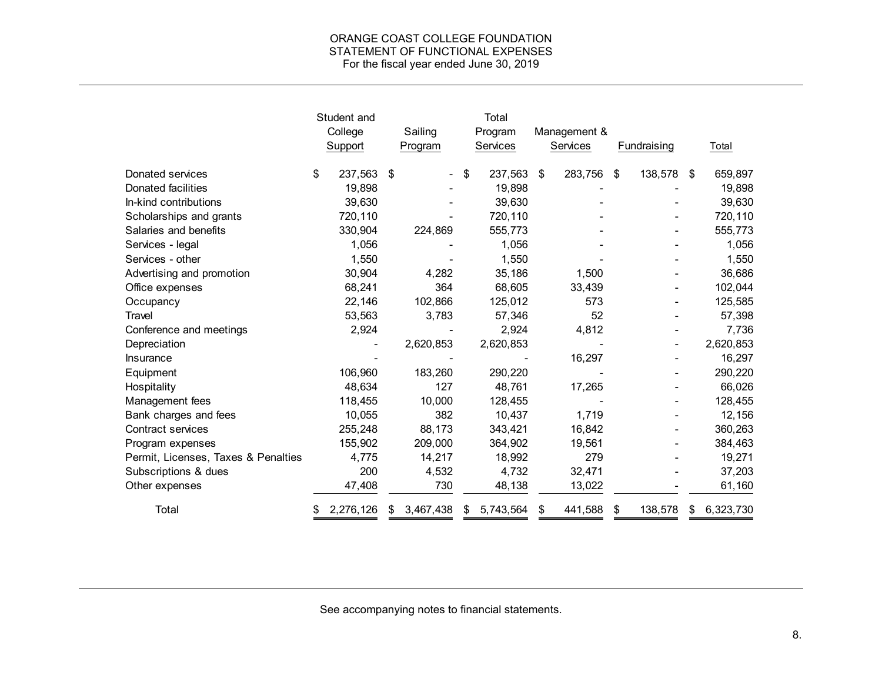#### ORANGE COAST COLLEGE FOUNDATION STATEMENT OF FUNCTIONAL EXPENSES For the fiscal year ended June 30, 2019

|                                     | Student and<br>College<br>Support | Sailing<br>Program | Total<br>Program<br>Services | Management &<br>Services | Fundraising   | Total          |
|-------------------------------------|-----------------------------------|--------------------|------------------------------|--------------------------|---------------|----------------|
|                                     |                                   |                    |                              |                          |               |                |
| Donated services                    | 237,563<br>\$                     | -\$                | \$<br>237,563                | 283,756<br>\$            | 138,578<br>\$ | 659,897<br>\$  |
| Donated facilities                  | 19,898                            |                    | 19,898                       |                          |               | 19,898         |
| In-kind contributions               | 39,630                            |                    | 39,630                       |                          |               | 39,630         |
| Scholarships and grants             | 720,110                           |                    | 720,110                      |                          |               | 720,110        |
| Salaries and benefits               | 330,904                           | 224,869            | 555,773                      |                          |               | 555,773        |
| Services - legal                    | 1,056                             |                    | 1,056                        |                          |               | 1,056          |
| Services - other                    | 1,550                             |                    | 1,550                        |                          |               | 1,550          |
| Advertising and promotion           | 30,904                            | 4,282              | 35,186                       | 1,500                    |               | 36,686         |
| Office expenses                     | 68,241                            | 364                | 68,605                       | 33,439                   |               | 102,044        |
| Occupancy                           | 22,146                            | 102,866            | 125,012                      | 573                      |               | 125,585        |
| Travel                              | 53,563                            | 3,783              | 57,346                       | 52                       |               | 57,398         |
| Conference and meetings             | 2,924                             |                    | 2,924                        | 4,812                    |               | 7,736          |
| Depreciation                        |                                   | 2,620,853          | 2,620,853                    |                          |               | 2,620,853      |
| <b>Insurance</b>                    |                                   |                    |                              | 16,297                   |               | 16,297         |
| Equipment                           | 106,960                           | 183,260            | 290,220                      |                          |               | 290,220        |
| Hospitality                         | 48,634                            | 127                | 48,761                       | 17,265                   |               | 66,026         |
| Management fees                     | 118,455                           | 10,000             | 128,455                      |                          |               | 128,455        |
| Bank charges and fees               | 10,055                            | 382                | 10,437                       | 1,719                    |               | 12,156         |
| <b>Contract services</b>            | 255,248                           | 88,173             | 343,421                      | 16,842                   |               | 360,263        |
| Program expenses                    | 155,902                           | 209,000            | 364,902                      | 19,561                   |               | 384,463        |
| Permit, Licenses, Taxes & Penalties | 4,775                             | 14,217             | 18,992                       | 279                      |               | 19,271         |
| Subscriptions & dues                | 200                               | 4,532              | 4,732                        | 32,471                   |               | 37,203         |
| Other expenses                      | 47,408                            | 730                | 48,138                       | 13,022                   |               | 61,160         |
| Total                               | 2,276,126<br>S                    | 3,467,438          | 5,743,564<br>Ъ.              | 441,588<br>S             | 138,578<br>\$ | 6,323,730<br>S |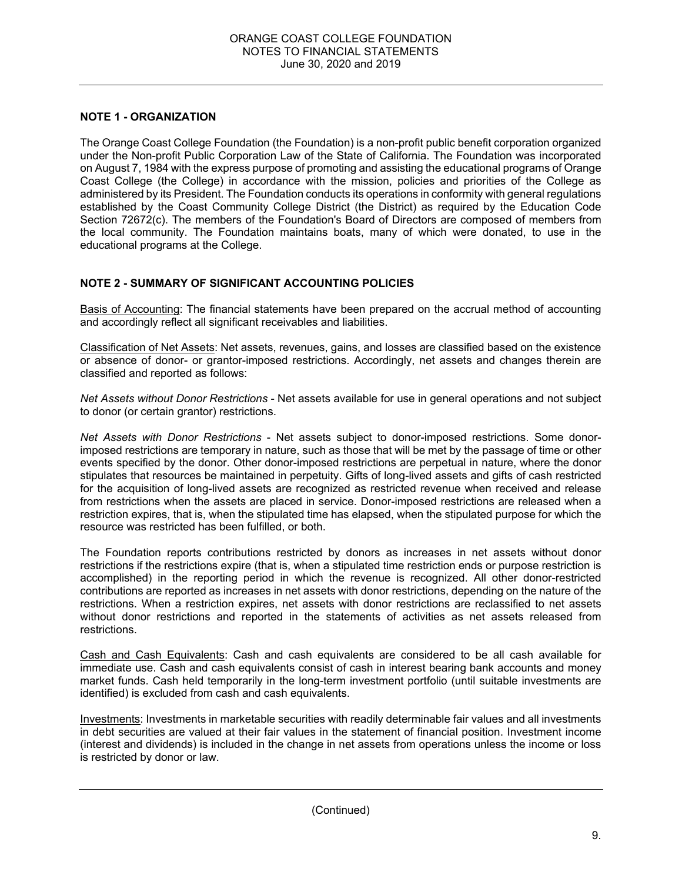### **NOTE 1 - ORGANIZATION**

The Orange Coast College Foundation (the Foundation) is a non-profit public benefit corporation organized under the Non-profit Public Corporation Law of the State of California. The Foundation was incorporated on August 7, 1984 with the express purpose of promoting and assisting the educational programs of Orange Coast College (the College) in accordance with the mission, policies and priorities of the College as administered by its President. The Foundation conducts its operations in conformity with general regulations established by the Coast Community College District (the District) as required by the Education Code Section 72672(c). The members of the Foundation's Board of Directors are composed of members from the local community. The Foundation maintains boats, many of which were donated, to use in the educational programs at the College.

# **NOTE 2 - SUMMARY OF SIGNIFICANT ACCOUNTING POLICIES**

Basis of Accounting: The financial statements have been prepared on the accrual method of accounting and accordingly reflect all significant receivables and liabilities.

Classification of Net Assets: Net assets, revenues, gains, and losses are classified based on the existence or absence of donor- or grantor-imposed restrictions. Accordingly, net assets and changes therein are classified and reported as follows:

*Net Assets without Donor Restrictions* - Net assets available for use in general operations and not subject to donor (or certain grantor) restrictions.

*Net Assets with Donor Restrictions* - Net assets subject to donor-imposed restrictions. Some donorimposed restrictions are temporary in nature, such as those that will be met by the passage of time or other events specified by the donor. Other donor-imposed restrictions are perpetual in nature, where the donor stipulates that resources be maintained in perpetuity. Gifts of long-lived assets and gifts of cash restricted for the acquisition of long-lived assets are recognized as restricted revenue when received and release from restrictions when the assets are placed in service. Donor-imposed restrictions are released when a restriction expires, that is, when the stipulated time has elapsed, when the stipulated purpose for which the resource was restricted has been fulfilled, or both.

The Foundation reports contributions restricted by donors as increases in net assets without donor restrictions if the restrictions expire (that is, when a stipulated time restriction ends or purpose restriction is accomplished) in the reporting period in which the revenue is recognized. All other donor-restricted contributions are reported as increases in net assets with donor restrictions, depending on the nature of the restrictions. When a restriction expires, net assets with donor restrictions are reclassified to net assets without donor restrictions and reported in the statements of activities as net assets released from restrictions.

Cash and Cash Equivalents: Cash and cash equivalents are considered to be all cash available for immediate use. Cash and cash equivalents consist of cash in interest bearing bank accounts and money market funds. Cash held temporarily in the long-term investment portfolio (until suitable investments are identified) is excluded from cash and cash equivalents.

Investments: Investments in marketable securities with readily determinable fair values and all investments in debt securities are valued at their fair values in the statement of financial position. Investment income (interest and dividends) is included in the change in net assets from operations unless the income or loss is restricted by donor or law.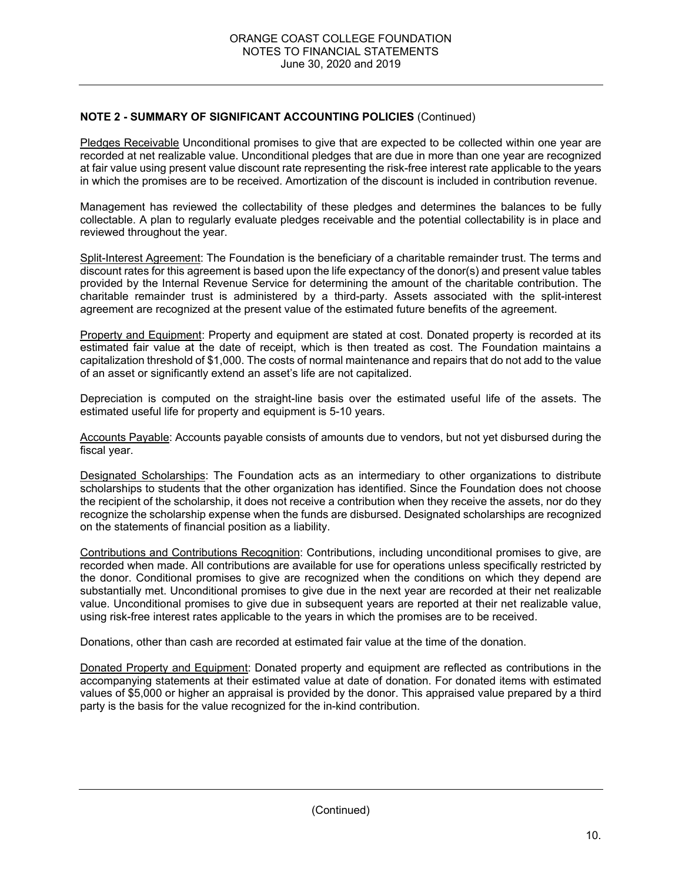# **NOTE 2 - SUMMARY OF SIGNIFICANT ACCOUNTING POLICIES** (Continued)

Pledges Receivable Unconditional promises to give that are expected to be collected within one year are recorded at net realizable value. Unconditional pledges that are due in more than one year are recognized at fair value using present value discount rate representing the risk-free interest rate applicable to the years in which the promises are to be received. Amortization of the discount is included in contribution revenue.

Management has reviewed the collectability of these pledges and determines the balances to be fully collectable. A plan to regularly evaluate pledges receivable and the potential collectability is in place and reviewed throughout the year.

Split-Interest Agreement: The Foundation is the beneficiary of a charitable remainder trust. The terms and discount rates for this agreement is based upon the life expectancy of the donor(s) and present value tables provided by the Internal Revenue Service for determining the amount of the charitable contribution. The charitable remainder trust is administered by a third-party. Assets associated with the split-interest agreement are recognized at the present value of the estimated future benefits of the agreement.

Property and Equipment: Property and equipment are stated at cost. Donated property is recorded at its estimated fair value at the date of receipt, which is then treated as cost. The Foundation maintains a capitalization threshold of \$1,000. The costs of normal maintenance and repairs that do not add to the value of an asset or significantly extend an asset's life are not capitalized.

Depreciation is computed on the straight-line basis over the estimated useful life of the assets. The estimated useful life for property and equipment is 5-10 years.

Accounts Payable: Accounts payable consists of amounts due to vendors, but not yet disbursed during the fiscal year.

Designated Scholarships: The Foundation acts as an intermediary to other organizations to distribute scholarships to students that the other organization has identified. Since the Foundation does not choose the recipient of the scholarship, it does not receive a contribution when they receive the assets, nor do they recognize the scholarship expense when the funds are disbursed. Designated scholarships are recognized on the statements of financial position as a liability.

Contributions and Contributions Recognition: Contributions, including unconditional promises to give, are recorded when made. All contributions are available for use for operations unless specifically restricted by the donor. Conditional promises to give are recognized when the conditions on which they depend are substantially met. Unconditional promises to give due in the next year are recorded at their net realizable value. Unconditional promises to give due in subsequent years are reported at their net realizable value, using risk-free interest rates applicable to the years in which the promises are to be received.

Donations, other than cash are recorded at estimated fair value at the time of the donation.

Donated Property and Equipment: Donated property and equipment are reflected as contributions in the accompanying statements at their estimated value at date of donation. For donated items with estimated values of \$5,000 or higher an appraisal is provided by the donor. This appraised value prepared by a third party is the basis for the value recognized for the in-kind contribution.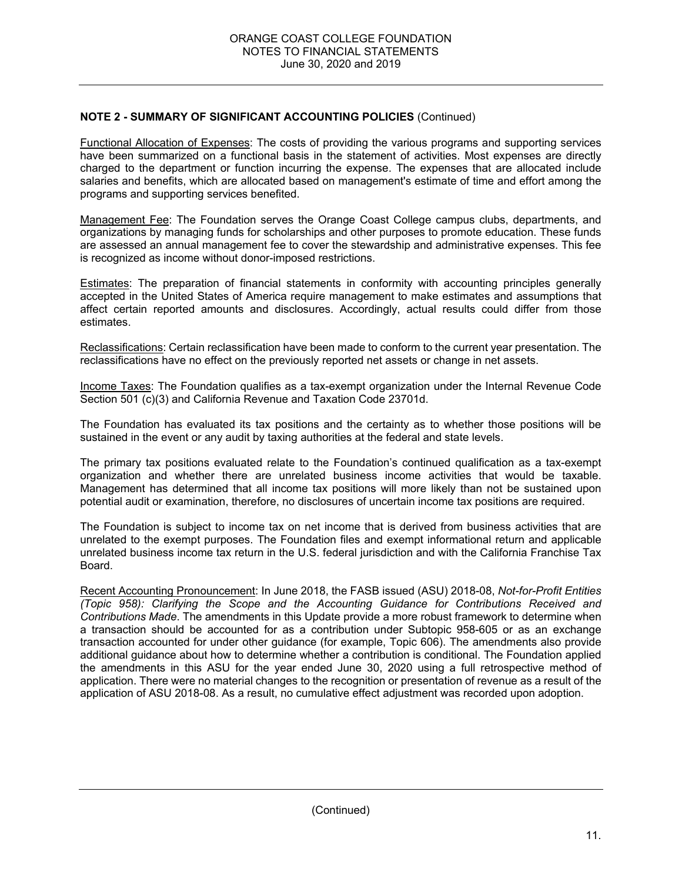# **NOTE 2 - SUMMARY OF SIGNIFICANT ACCOUNTING POLICIES** (Continued)

Functional Allocation of Expenses: The costs of providing the various programs and supporting services have been summarized on a functional basis in the statement of activities. Most expenses are directly charged to the department or function incurring the expense. The expenses that are allocated include salaries and benefits, which are allocated based on management's estimate of time and effort among the programs and supporting services benefited.

Management Fee: The Foundation serves the Orange Coast College campus clubs, departments, and organizations by managing funds for scholarships and other purposes to promote education. These funds are assessed an annual management fee to cover the stewardship and administrative expenses. This fee is recognized as income without donor-imposed restrictions.

Estimates: The preparation of financial statements in conformity with accounting principles generally accepted in the United States of America require management to make estimates and assumptions that affect certain reported amounts and disclosures. Accordingly, actual results could differ from those estimates.

Reclassifications: Certain reclassification have been made to conform to the current year presentation. The reclassifications have no effect on the previously reported net assets or change in net assets.

Income Taxes: The Foundation qualifies as a tax-exempt organization under the Internal Revenue Code Section 501 (c)(3) and California Revenue and Taxation Code 23701d.

The Foundation has evaluated its tax positions and the certainty as to whether those positions will be sustained in the event or any audit by taxing authorities at the federal and state levels.

The primary tax positions evaluated relate to the Foundation's continued qualification as a tax-exempt organization and whether there are unrelated business income activities that would be taxable. Management has determined that all income tax positions will more likely than not be sustained upon potential audit or examination, therefore, no disclosures of uncertain income tax positions are required.

The Foundation is subject to income tax on net income that is derived from business activities that are unrelated to the exempt purposes. The Foundation files and exempt informational return and applicable unrelated business income tax return in the U.S. federal jurisdiction and with the California Franchise Tax Board.

Recent Accounting Pronouncement: In June 2018, the FASB issued (ASU) 2018-08, *Not-for-Profit Entities (Topic 958): Clarifying the Scope and the Accounting Guidance for Contributions Received and Contributions Made*. The amendments in this Update provide a more robust framework to determine when a transaction should be accounted for as a contribution under Subtopic 958-605 or as an exchange transaction accounted for under other guidance (for example, Topic 606). The amendments also provide additional guidance about how to determine whether a contribution is conditional. The Foundation applied the amendments in this ASU for the year ended June 30, 2020 using a full retrospective method of application. There were no material changes to the recognition or presentation of revenue as a result of the application of ASU 2018-08. As a result, no cumulative effect adjustment was recorded upon adoption.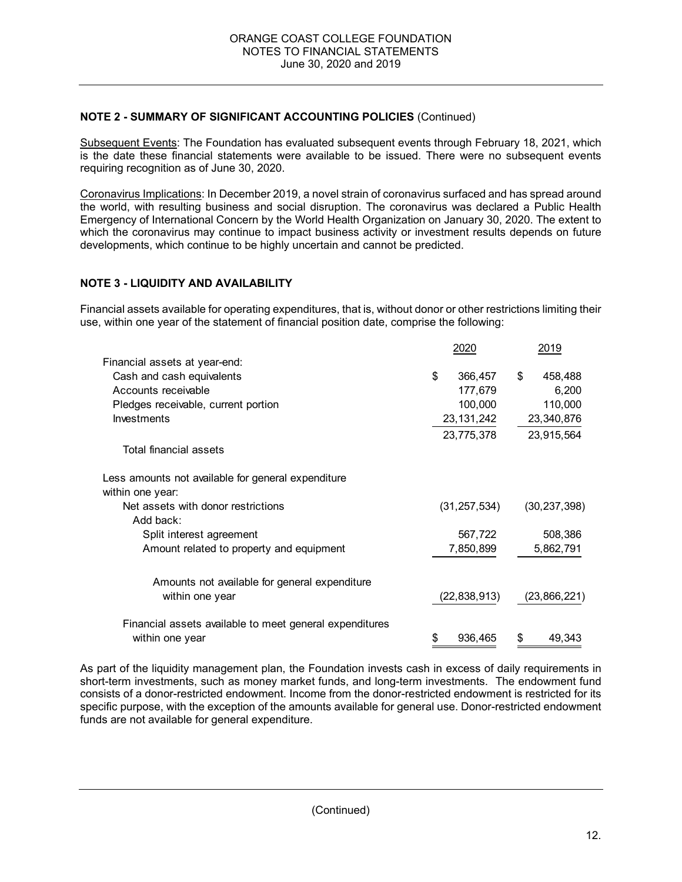# **NOTE 2 - SUMMARY OF SIGNIFICANT ACCOUNTING POLICIES** (Continued)

Subsequent Events: The Foundation has evaluated subsequent events through February 18, 2021, which is the date these financial statements were available to be issued. There were no subsequent events requiring recognition as of June 30, 2020.

Coronavirus Implications: In December 2019, a novel strain of coronavirus surfaced and has spread around the world, with resulting business and social disruption. The coronavirus was declared a Public Health Emergency of International Concern by the World Health Organization on January 30, 2020. The extent to which the coronavirus may continue to impact business activity or investment results depends on future developments, which continue to be highly uncertain and cannot be predicted.

### **NOTE 3 - LIQUIDITY AND AVAILABILITY**

Financial assets available for operating expenditures, that is, without donor or other restrictions limiting their use, within one year of the statement of financial position date, comprise the following:

|                                                         | 2020           | 2019           |
|---------------------------------------------------------|----------------|----------------|
| Financial assets at year-end:                           |                |                |
| Cash and cash equivalents                               | \$<br>366,457  | \$<br>458,488  |
| Accounts receivable                                     | 177,679        | 6,200          |
| Pledges receivable, current portion                     | 100,000        | 110,000        |
| <b>Investments</b>                                      | 23, 131, 242   | 23,340,876     |
|                                                         | 23,775,378     | 23,915,564     |
| Total financial assets                                  |                |                |
| Less amounts not available for general expenditure      |                |                |
| within one year:                                        |                |                |
| Net assets with donor restrictions                      | (31, 257, 534) | (30, 237, 398) |
| Add back:                                               |                |                |
| Split interest agreement                                | 567,722        | 508,386        |
| Amount related to property and equipment                | 7,850,899      | 5,862,791      |
| Amounts not available for general expenditure           |                |                |
| within one year                                         | (22, 838, 913) | (23,866,221)   |
| Financial assets available to meet general expenditures |                |                |
| within one year                                         | \$<br>936,465  | \$<br>49,343   |
|                                                         |                |                |

As part of the liquidity management plan, the Foundation invests cash in excess of daily requirements in short-term investments, such as money market funds, and long-term investments. The endowment fund consists of a donor-restricted endowment. Income from the donor-restricted endowment is restricted for its specific purpose, with the exception of the amounts available for general use. Donor-restricted endowment funds are not available for general expenditure.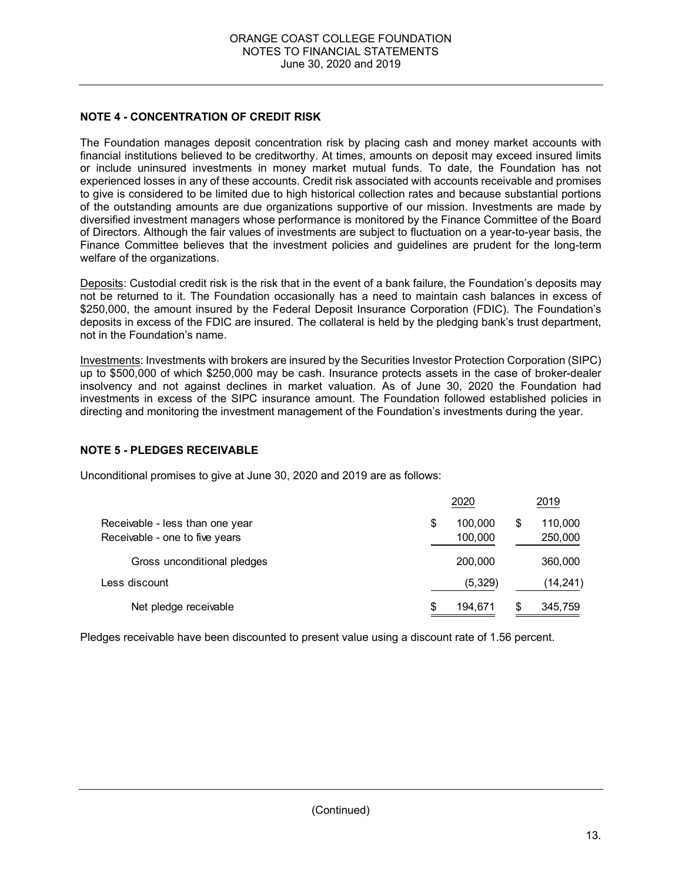### **NOTE 4 - CONCENTRATION OF CREDIT RISK**

The Foundation manages deposit concentration risk by placing cash and money market accounts with financial institutions believed to be creditworthy. At times, amounts on deposit may exceed insured limits or include uninsured investments in money market mutual funds. To date, the Foundation has not experienced losses in any of these accounts. Credit risk associated with accounts receivable and promises to give is considered to be limited due to high historical collection rates and because substantial portions of the outstanding amounts are due organizations supportive of our mission. Investments are made by diversified investment managers whose performance is monitored by the Finance Committee of the Board of Directors. Although the fair values of investments are subject to fluctuation on a year-to-year basis, the Finance Committee believes that the investment policies and guidelines are prudent for the long-term welfare of the organizations.

Deposits: Custodial credit risk is the risk that in the event of a bank failure, the Foundation's deposits may not be returned to it. The Foundation occasionally has a need to maintain cash balances in excess of \$250,000, the amount insured by the Federal Deposit Insurance Corporation (FDIC). The Foundation's deposits in excess of the FDIC are insured. The collateral is held by the pledging bank's trust department, not in the Foundation's name.

Investments: Investments with brokers are insured by the Securities Investor Protection Corporation (SIPC) up to \$500,000 of which \$250,000 may be cash. Insurance protects assets in the case of broker-dealer insolvency and not against declines in market valuation. As of June 30, 2020 the Foundation had investments in excess of the SIPC insurance amount. The Foundation followed established policies in directing and monitoring the investment management of the Foundation's investments during the year.

### **NOTE 5 - PLEDGES RECEIVABLE**

Unconditional promises to give at June 30, 2020 and 2019 are as follows:

|                                                                   |     | 2020               |    | 2019               |
|-------------------------------------------------------------------|-----|--------------------|----|--------------------|
| Receivable - less than one year<br>Receivable - one to five years | S   | 100,000<br>100,000 | \$ | 110,000<br>250,000 |
| Gross unconditional pledges                                       |     | 200,000            |    | 360,000            |
| Less discount                                                     |     | (5, 329)           |    | (14, 241)          |
| Net pledge receivable                                             | \$. | 194.671            | S  | 345,759            |

Pledges receivable have been discounted to present value using a discount rate of 1.56 percent.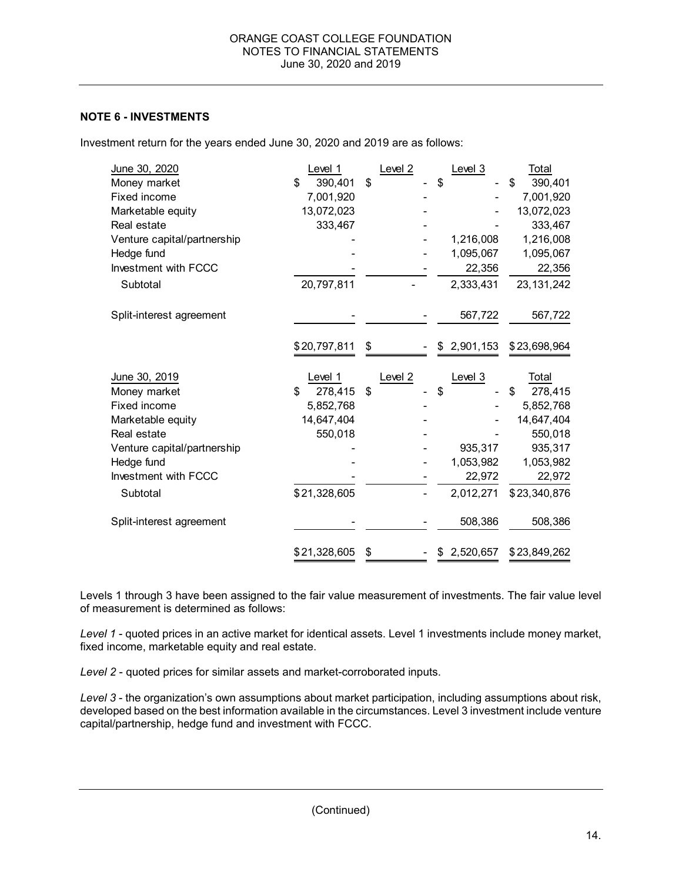### **NOTE 6 - INVESTMENTS**

Investment return for the years ended June 30, 2020 and 2019 are as follows:

| June 30, 2020               | Level 1       | Level 2 |         | Level 3        | Total         |
|-----------------------------|---------------|---------|---------|----------------|---------------|
| Money market                | \$<br>390,401 | \$      |         | \$             | \$<br>390,401 |
| Fixed income                | 7,001,920     |         |         |                | 7,001,920     |
| Marketable equity           | 13,072,023    |         |         |                | 13,072,023    |
| Real estate                 | 333,467       |         |         |                | 333,467       |
| Venture capital/partnership |               |         |         | 1,216,008      | 1,216,008     |
| Hedge fund                  |               |         |         | 1,095,067      | 1,095,067     |
| Investment with FCCC        |               |         |         | 22,356         | 22,356        |
| Subtotal                    | 20,797,811    |         |         | 2,333,431      | 23, 131, 242  |
| Split-interest agreement    |               |         |         | 567,722        | 567,722       |
|                             |               |         |         |                |               |
|                             | \$20,797,811  | \$      |         | 2,901,153<br>S | \$23,698,964  |
|                             |               |         |         |                |               |
| June 30, 2019               | Level 1       |         | Level 2 | Level 3        | Total         |
| Money market                | 278,415<br>\$ | \$      |         | \$             | \$<br>278,415 |
| Fixed income                | 5,852,768     |         |         |                | 5,852,768     |
| Marketable equity           | 14,647,404    |         |         |                | 14,647,404    |
| Real estate                 | 550,018       |         |         |                | 550,018       |
| Venture capital/partnership |               |         |         | 935,317        | 935,317       |
| Hedge fund                  |               |         |         | 1,053,982      | 1,053,982     |
| Investment with FCCC        |               |         |         | 22,972         | 22,972        |
| Subtotal                    | \$21,328,605  |         |         | 2,012,271      | \$23,340,876  |
| Split-interest agreement    |               |         |         | 508,386        | 508,386       |

Levels 1 through 3 have been assigned to the fair value measurement of investments. The fair value level of measurement is determined as follows:

*Level 1* - quoted prices in an active market for identical assets. Level 1 investments include money market, fixed income, marketable equity and real estate.

*Level 2* - quoted prices for similar assets and market-corroborated inputs.

*Level 3* - the organization's own assumptions about market participation, including assumptions about risk, developed based on the best information available in the circumstances. Level 3 investment include venture capital/partnership, hedge fund and investment with FCCC.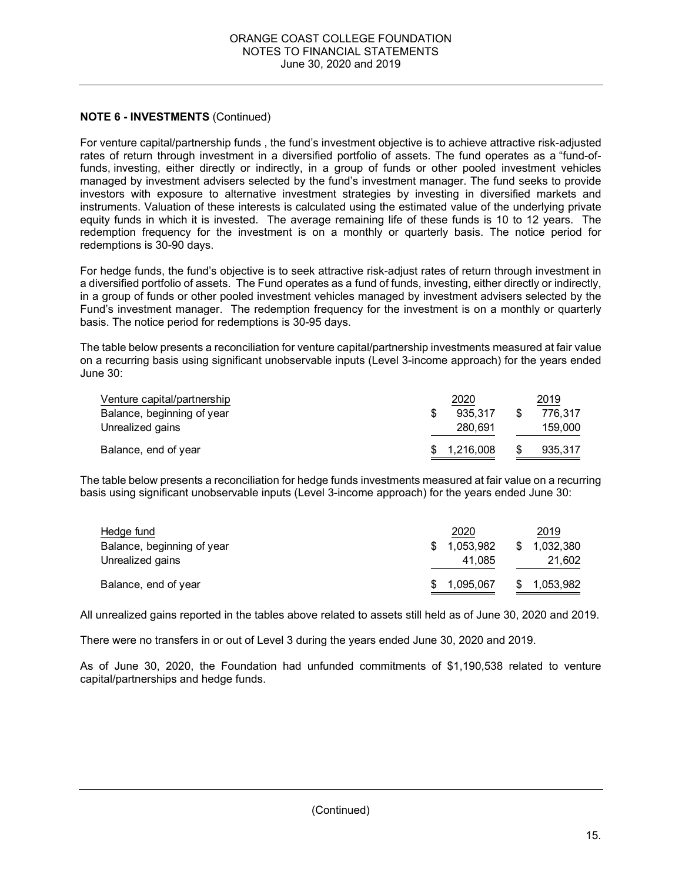### **NOTE 6 - INVESTMENTS** (Continued)

For venture capital/partnership funds , the fund's investment objective is to achieve attractive risk-adjusted rates of return through investment in a diversified portfolio of assets. The fund operates as a "fund-offunds, investing, either directly or indirectly, in a group of funds or other pooled investment vehicles managed by investment advisers selected by the fund's investment manager. The fund seeks to provide investors with exposure to alternative investment strategies by investing in diversified markets and instruments. Valuation of these interests is calculated using the estimated value of the underlying private equity funds in which it is invested. The average remaining life of these funds is 10 to 12 years. The redemption frequency for the investment is on a monthly or quarterly basis. The notice period for redemptions is 30-90 days.

For hedge funds, the fund's objective is to seek attractive risk-adjust rates of return through investment in a diversified portfolio of assets. The Fund operates as a fund of funds, investing, either directly or indirectly, in a group of funds or other pooled investment vehicles managed by investment advisers selected by the Fund's investment manager. The redemption frequency for the investment is on a monthly or quarterly basis. The notice period for redemptions is 30-95 days.

The table below presents a reconciliation for venture capital/partnership investments measured at fair value on a recurring basis using significant unobservable inputs (Level 3-income approach) for the years ended June 30:

| Venture capital/partnership | 2020        | 2019    |
|-----------------------------|-------------|---------|
| Balance, beginning of year  | 935.317     | 776.317 |
| Unrealized gains            | 280.691     | 159,000 |
| Balance, end of year        | \$1,216,008 | 935.317 |

The table below presents a reconciliation for hedge funds investments measured at fair value on a recurring basis using significant unobservable inputs (Level 3-income approach) for the years ended June 30:

| Hedge fund                 | 2020      | 2019            |
|----------------------------|-----------|-----------------|
| Balance, beginning of year | 1.053.982 | 1,032,380<br>-S |
| Unrealized gains           | 41.085    | 21,602          |
| Balance, end of year       | 1,095,067 | 1,053,982       |

All unrealized gains reported in the tables above related to assets still held as of June 30, 2020 and 2019.

There were no transfers in or out of Level 3 during the years ended June 30, 2020 and 2019.

As of June 30, 2020, the Foundation had unfunded commitments of \$1,190,538 related to venture capital/partnerships and hedge funds.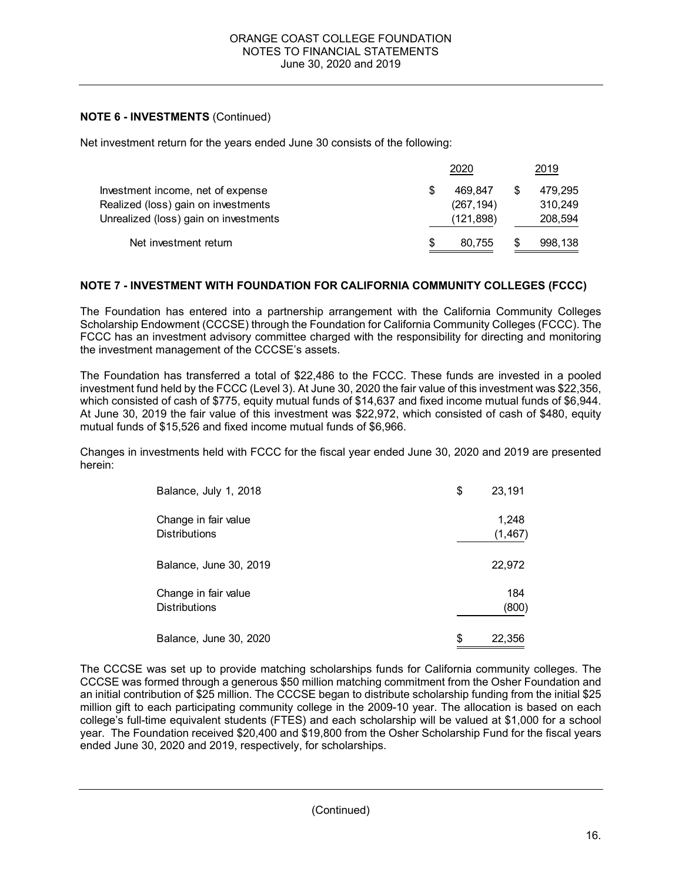### **NOTE 6 - INVESTMENTS** (Continued)

Net investment return for the years ended June 30 consists of the following:

|                                       |    | 2020       | 2019    |
|---------------------------------------|----|------------|---------|
| Investment income, net of expense     | S  | 469.847    | 479.295 |
| Realized (loss) gain on investments   |    | (267, 194) | 310.249 |
| Unrealized (loss) gain on investments |    | (121, 898) | 208,594 |
| Net investment return                 | \$ | 80.755     | 998,138 |

#### **NOTE 7 - INVESTMENT WITH FOUNDATION FOR CALIFORNIA COMMUNITY COLLEGES (FCCC)**

The Foundation has entered into a partnership arrangement with the California Community Colleges Scholarship Endowment (CCCSE) through the Foundation for California Community Colleges (FCCC). The FCCC has an investment advisory committee charged with the responsibility for directing and monitoring the investment management of the CCCSE's assets.

The Foundation has transferred a total of \$22,486 to the FCCC. These funds are invested in a pooled investment fund held by the FCCC (Level 3). At June 30, 2020 the fair value of this investment was \$22,356, which consisted of cash of \$775, equity mutual funds of \$14,637 and fixed income mutual funds of \$6,944. At June 30, 2019 the fair value of this investment was \$22,972, which consisted of cash of \$480, equity mutual funds of \$15,526 and fixed income mutual funds of \$6,966.

Changes in investments held with FCCC for the fiscal year ended June 30, 2020 and 2019 are presented herein:

| Balance, July 1, 2018                        | \$<br>23,191      |
|----------------------------------------------|-------------------|
| Change in fair value<br><b>Distributions</b> | 1,248<br>(1, 467) |
| Balance, June 30, 2019                       | 22,972            |
| Change in fair value<br><b>Distributions</b> | 184<br>(800)      |
| Balance, June 30, 2020                       | \$<br>22,356      |

The CCCSE was set up to provide matching scholarships funds for California community colleges. The CCCSE was formed through a generous \$50 million matching commitment from the Osher Foundation and an initial contribution of \$25 million. The CCCSE began to distribute scholarship funding from the initial \$25 million gift to each participating community college in the 2009-10 year. The allocation is based on each college's full-time equivalent students (FTES) and each scholarship will be valued at \$1,000 for a school year. The Foundation received \$20,400 and \$19,800 from the Osher Scholarship Fund for the fiscal years ended June 30, 2020 and 2019, respectively, for scholarships.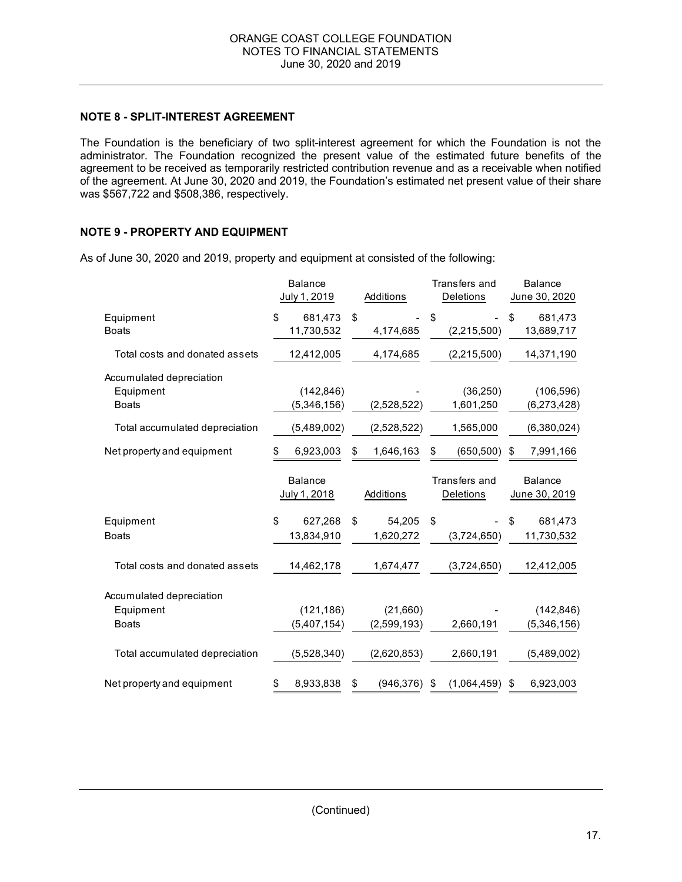### **NOTE 8 - SPLIT-INTEREST AGREEMENT**

The Foundation is the beneficiary of two split-interest agreement for which the Foundation is not the administrator. The Foundation recognized the present value of the estimated future benefits of the agreement to be received as temporarily restricted contribution revenue and as a receivable when notified of the agreement. At June 30, 2020 and 2019, the Foundation's estimated net present value of their share was \$567,722 and \$508,386, respectively.

# **NOTE 9 - PROPERTY AND EQUIPMENT**

As of June 30, 2020 and 2019, property and equipment at consisted of the following:

|                                | <b>Balance</b><br>July 1, 2019 | Additions        | Transfers and<br>Deletions | Balance<br>June 30, 2020    |
|--------------------------------|--------------------------------|------------------|----------------------------|-----------------------------|
|                                |                                |                  |                            |                             |
| Equipment<br><b>Boats</b>      | \$<br>681,473<br>11,730,532    | \$<br>4,174,685  | \$<br>(2,215,500)          | \$<br>681,473<br>13,689,717 |
| Total costs and donated assets | 12,412,005                     | 4,174,685        | (2,215,500)                | 14,371,190                  |
| Accumulated depreciation       |                                |                  |                            |                             |
| Equipment                      | (142, 846)                     |                  | (36, 250)                  | (106, 596)                  |
| <b>Boats</b>                   | (5,346,156)                    | (2,528,522)      | 1,601,250                  | (6, 273, 428)               |
| Total accumulated depreciation | (5,489,002)                    | (2,528,522)      | 1,565,000                  | (6,380,024)                 |
| Net property and equipment     | \$<br>6,923,003                | \$<br>1,646,163  | \$<br>(650, 500)           | \$<br>7,991,166             |
|                                | <b>Balance</b>                 |                  | Transfers and              | <b>Balance</b>              |
|                                | July 1, 2018                   | Additions        | Deletions                  | June 30, 2019               |
| Equipment                      | \$<br>627,268                  | \$<br>54,205     | \$                         | \$<br>681,473               |
| <b>Boats</b>                   | 13,834,910                     | 1,620,272        | (3,724,650)                | 11,730,532                  |
| Total costs and donated assets | 14,462,178                     | 1,674,477        | (3,724,650)                | 12,412,005                  |
| Accumulated depreciation       |                                |                  |                            |                             |
| Equipment                      | (121, 186)                     | (21,660)         |                            | (142, 846)                  |
| <b>Boats</b>                   | (5,407,154)                    | (2,599,193)      | 2,660,191                  | (5,346,156)                 |
| Total accumulated depreciation | (5,528,340)                    | (2,620,853)      | 2,660,191                  | (5,489,002)                 |
| Net property and equipment     | \$<br>8,933,838                | \$<br>(946, 376) | \$<br>(1,064,459)          | \$<br>6,923,003             |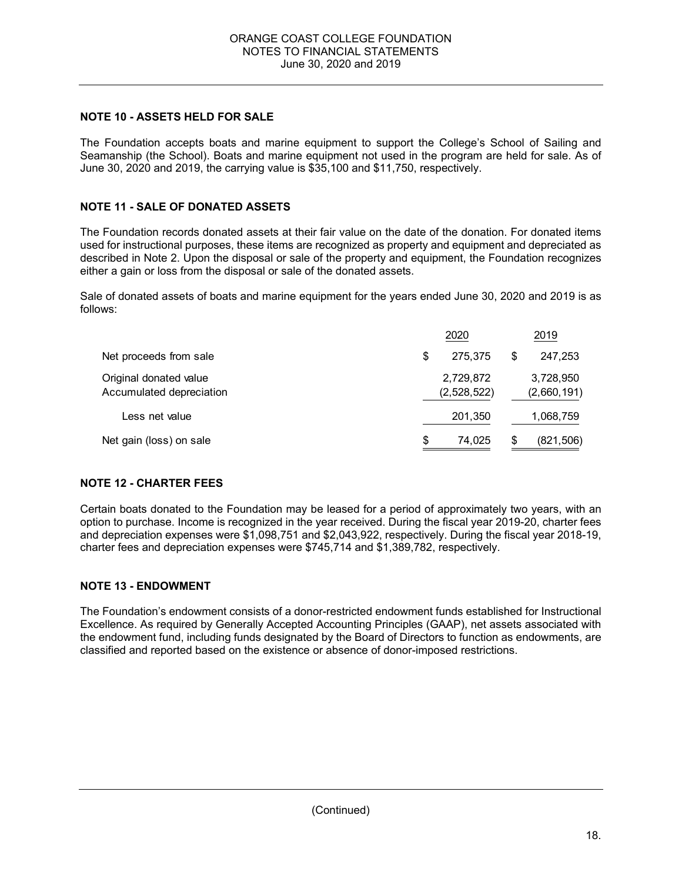### **NOTE 10 - ASSETS HELD FOR SALE**

The Foundation accepts boats and marine equipment to support the College's School of Sailing and Seamanship (the School). Boats and marine equipment not used in the program are held for sale. As of June 30, 2020 and 2019, the carrying value is \$35,100 and \$11,750, respectively.

### **NOTE 11 - SALE OF DONATED ASSETS**

The Foundation records donated assets at their fair value on the date of the donation. For donated items used for instructional purposes, these items are recognized as property and equipment and depreciated as described in Note 2. Upon the disposal or sale of the property and equipment, the Foundation recognizes either a gain or loss from the disposal or sale of the donated assets.

Sale of donated assets of boats and marine equipment for the years ended June 30, 2020 and 2019 is as follows:

|                                                    | 2020 |                          | 2019                     |
|----------------------------------------------------|------|--------------------------|--------------------------|
| Net proceeds from sale                             | \$   | 275.375<br>S             | 247,253                  |
| Original donated value<br>Accumulated depreciation |      | 2,729,872<br>(2,528,522) | 3,728,950<br>(2,660,191) |
| Less net value                                     |      | 201,350                  | 1,068,759                |
| Net gain (loss) on sale                            | \$   | 74,025<br>S              | (821,506)                |

# **NOTE 12 - CHARTER FEES**

Certain boats donated to the Foundation may be leased for a period of approximately two years, with an option to purchase. Income is recognized in the year received. During the fiscal year 2019-20, charter fees and depreciation expenses were \$1,098,751 and \$2,043,922, respectively. During the fiscal year 2018-19, charter fees and depreciation expenses were \$745,714 and \$1,389,782, respectively.

### **NOTE 13 - ENDOWMENT**

The Foundation's endowment consists of a donor-restricted endowment funds established for Instructional Excellence. As required by Generally Accepted Accounting Principles (GAAP), net assets associated with the endowment fund, including funds designated by the Board of Directors to function as endowments, are classified and reported based on the existence or absence of donor-imposed restrictions.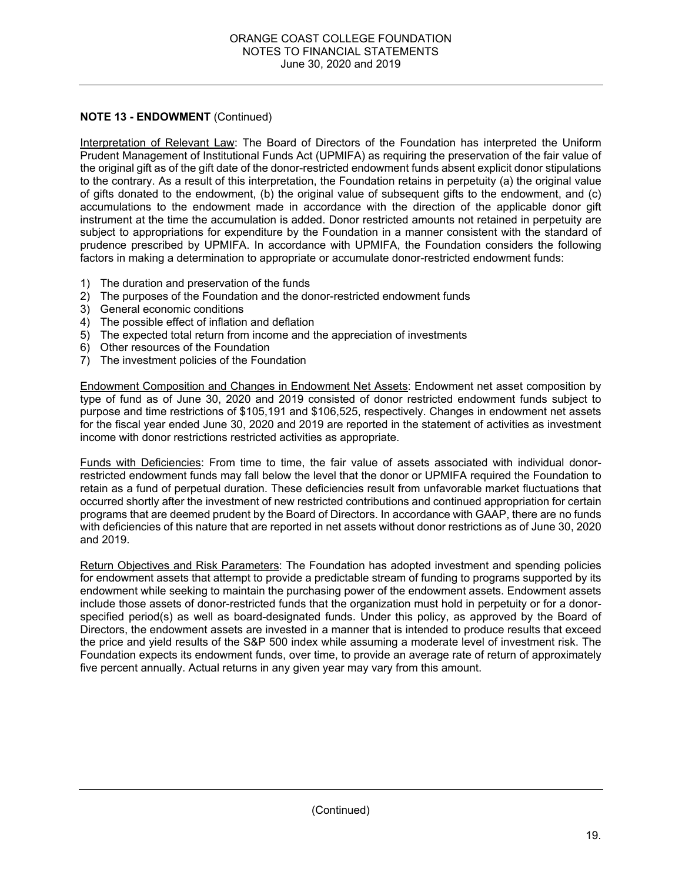# **NOTE 13 - ENDOWMENT** (Continued)

Interpretation of Relevant Law: The Board of Directors of the Foundation has interpreted the Uniform Prudent Management of Institutional Funds Act (UPMIFA) as requiring the preservation of the fair value of the original gift as of the gift date of the donor-restricted endowment funds absent explicit donor stipulations to the contrary. As a result of this interpretation, the Foundation retains in perpetuity (a) the original value of gifts donated to the endowment, (b) the original value of subsequent gifts to the endowment, and (c) accumulations to the endowment made in accordance with the direction of the applicable donor gift instrument at the time the accumulation is added. Donor restricted amounts not retained in perpetuity are subject to appropriations for expenditure by the Foundation in a manner consistent with the standard of prudence prescribed by UPMIFA. In accordance with UPMIFA, the Foundation considers the following factors in making a determination to appropriate or accumulate donor-restricted endowment funds:

- 1) The duration and preservation of the funds
- 2) The purposes of the Foundation and the donor-restricted endowment funds
- 3) General economic conditions
- 4) The possible effect of inflation and deflation
- 5) The expected total return from income and the appreciation of investments
- 6) Other resources of the Foundation
- 7) The investment policies of the Foundation

Endowment Composition and Changes in Endowment Net Assets: Endowment net asset composition by type of fund as of June 30, 2020 and 2019 consisted of donor restricted endowment funds subject to purpose and time restrictions of \$105,191 and \$106,525, respectively. Changes in endowment net assets for the fiscal year ended June 30, 2020 and 2019 are reported in the statement of activities as investment income with donor restrictions restricted activities as appropriate.

Funds with Deficiencies: From time to time, the fair value of assets associated with individual donorrestricted endowment funds may fall below the level that the donor or UPMIFA required the Foundation to retain as a fund of perpetual duration. These deficiencies result from unfavorable market fluctuations that occurred shortly after the investment of new restricted contributions and continued appropriation for certain programs that are deemed prudent by the Board of Directors. In accordance with GAAP, there are no funds with deficiencies of this nature that are reported in net assets without donor restrictions as of June 30, 2020 and 2019.

Return Objectives and Risk Parameters: The Foundation has adopted investment and spending policies for endowment assets that attempt to provide a predictable stream of funding to programs supported by its endowment while seeking to maintain the purchasing power of the endowment assets. Endowment assets include those assets of donor-restricted funds that the organization must hold in perpetuity or for a donorspecified period(s) as well as board-designated funds. Under this policy, as approved by the Board of Directors, the endowment assets are invested in a manner that is intended to produce results that exceed the price and yield results of the S&P 500 index while assuming a moderate level of investment risk. The Foundation expects its endowment funds, over time, to provide an average rate of return of approximately five percent annually. Actual returns in any given year may vary from this amount.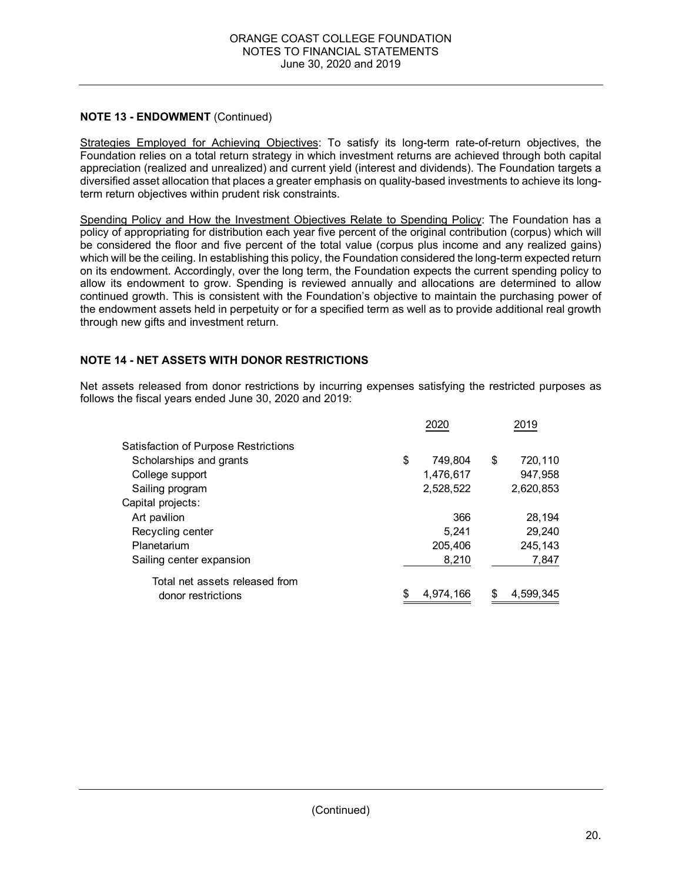### **NOTE 13 - ENDOWMENT** (Continued)

Strategies Employed for Achieving Objectives: To satisfy its long-term rate-of-return objectives, the Foundation relies on a total return strategy in which investment returns are achieved through both capital appreciation (realized and unrealized) and current yield (interest and dividends). The Foundation targets a diversified asset allocation that places a greater emphasis on quality-based investments to achieve its longterm return objectives within prudent risk constraints.

Spending Policy and How the Investment Objectives Relate to Spending Policy: The Foundation has a policy of appropriating for distribution each year five percent of the original contribution (corpus) which will be considered the floor and five percent of the total value (corpus plus income and any realized gains) which will be the ceiling. In establishing this policy, the Foundation considered the long-term expected return on its endowment. Accordingly, over the long term, the Foundation expects the current spending policy to allow its endowment to grow. Spending is reviewed annually and allocations are determined to allow continued growth. This is consistent with the Foundation's objective to maintain the purchasing power of the endowment assets held in perpetuity or for a specified term as well as to provide additional real growth through new gifts and investment return.

# **NOTE 14 - NET ASSETS WITH DONOR RESTRICTIONS**

Net assets released from donor restrictions by incurring expenses satisfying the restricted purposes as follows the fiscal years ended June 30, 2020 and 2019:

|                                             |    |           |    | 2019      |
|---------------------------------------------|----|-----------|----|-----------|
| <b>Satisfaction of Purpose Restrictions</b> |    |           |    |           |
| Scholarships and grants                     | \$ | 749.804   | \$ | 720,110   |
| College support                             |    | 1,476,617 |    | 947,958   |
| Sailing program                             |    | 2.528.522 |    | 2,620,853 |
| Capital projects:                           |    |           |    |           |
| Art pavilion                                |    | 366       |    | 28.194    |
| Recycling center                            |    | 5.241     |    | 29,240    |
| Planetarium                                 |    | 205,406   |    | 245,143   |
| Sailing center expansion                    |    | 8,210     |    | 7,847     |
| Total net assets released from              |    |           |    |           |
| donor restrictions                          | \$ | 4.974.166 |    | 4.599.345 |
|                                             |    |           |    |           |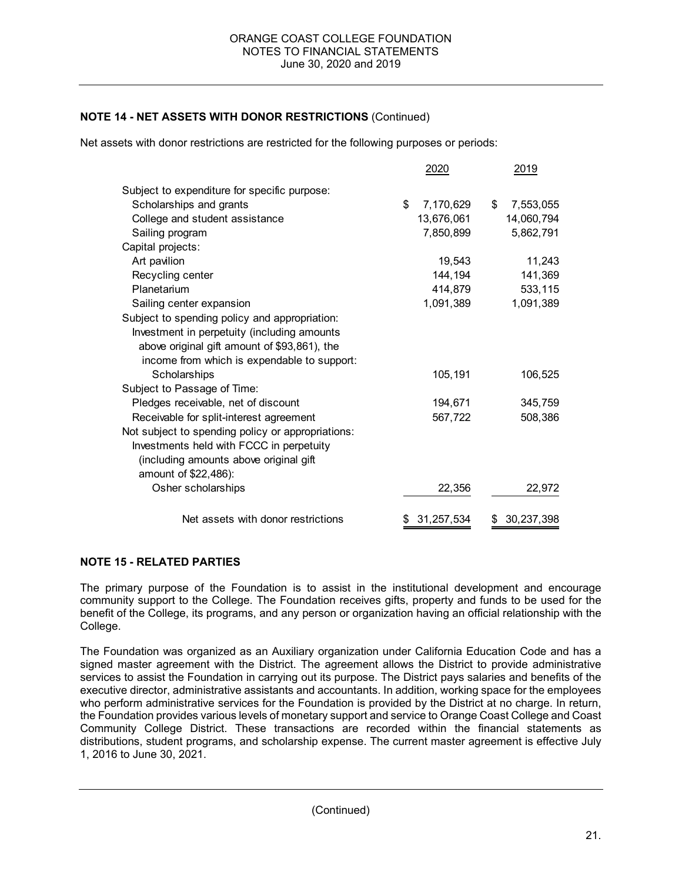### **NOTE 14 - NET ASSETS WITH DONOR RESTRICTIONS** (Continued)

Net assets with donor restrictions are restricted for the following purposes or periods:

|                                                   | 2020            | 2019            |
|---------------------------------------------------|-----------------|-----------------|
| Subject to expenditure for specific purpose:      |                 |                 |
| Scholarships and grants                           | \$<br>7,170,629 | \$<br>7,553,055 |
| College and student assistance                    | 13,676,061      | 14,060,794      |
| Sailing program                                   | 7,850,899       | 5,862,791       |
| Capital projects:                                 |                 |                 |
| Art pavilion                                      | 19,543          | 11,243          |
| Recycling center                                  | 144,194         | 141,369         |
| Planetarium                                       | 414,879         | 533,115         |
| Sailing center expansion                          | 1,091,389       | 1,091,389       |
| Subject to spending policy and appropriation:     |                 |                 |
| Investment in perpetuity (including amounts       |                 |                 |
| above original gift amount of \$93,861), the      |                 |                 |
| income from which is expendable to support:       |                 |                 |
| Scholarships                                      | 105,191         | 106,525         |
| Subject to Passage of Time:                       |                 |                 |
| Pledges receivable, net of discount               | 194,671         | 345,759         |
| Receivable for split-interest agreement           | 567,722         | 508,386         |
| Not subject to spending policy or appropriations: |                 |                 |
| Investments held with FCCC in perpetuity          |                 |                 |
| (including amounts above original gift            |                 |                 |
| amount of \$22,486):                              |                 |                 |
| Osher scholarships                                | 22,356          | 22,972          |
| Net assets with donor restrictions                | 31,257,534      | \$30,237,398    |

### **NOTE 15 - RELATED PARTIES**

The primary purpose of the Foundation is to assist in the institutional development and encourage community support to the College. The Foundation receives gifts, property and funds to be used for the benefit of the College, its programs, and any person or organization having an official relationship with the College.

The Foundation was organized as an Auxiliary organization under California Education Code and has a signed master agreement with the District. The agreement allows the District to provide administrative services to assist the Foundation in carrying out its purpose. The District pays salaries and benefits of the executive director, administrative assistants and accountants. In addition, working space for the employees who perform administrative services for the Foundation is provided by the District at no charge. In return, the Foundation provides various levels of monetary support and service to Orange Coast College and Coast Community College District. These transactions are recorded within the financial statements as distributions, student programs, and scholarship expense. The current master agreement is effective July 1, 2016 to June 30, 2021.